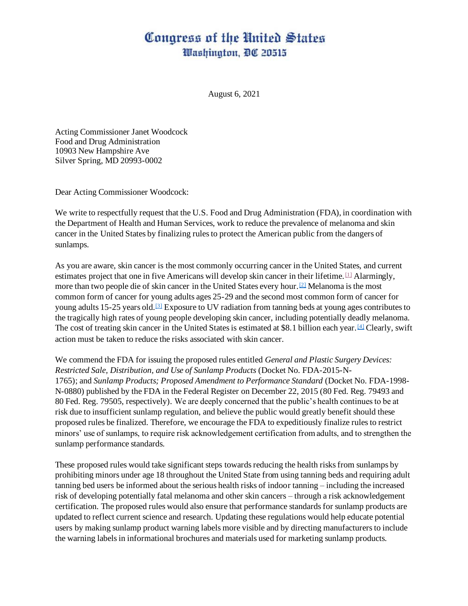## Congress of the United States Washington, DC 20515

August 6, 2021

Acting Commissioner Janet Woodcock Food and Drug Administration 10903 New Hampshire Ave Silver Spring, MD 20993-0002

Dear Acting Commissioner Woodcock:

We write to respectfully request that the U.S. Food and Drug Administration (FDA), in coordination with the Department of Health and Human Services, work to reduce the prevalence of melanoma and skin cancer in the United States by finalizing rules to protect the American public from the dangers of sunlamps.

As you are aware, skin cancer is the most commonly occurring cancer in the United States, and current estimates project that one in five Americans will develop skin cancer in their lifetime.  $\Box$  Alarmingly, more than two people die of skin cancer in the United States every hour.[\[2\]](https://e-dearcolleague.house.gov/Home/Preview?DCID=341154#_ftn2) Melanoma is the most common form of cancer for young adults ages 25-29 and the second most common form of cancer for young adults 15-25 years old.<sup>[\[3\]](https://e-dearcolleague.house.gov/Home/Preview?DCID=341154#_ftn3)</sup> Exposure to UV radiation from tanning beds at young ages contributes to the tragically high rates of young people developing skin cancer, including potentially deadly melanoma. The cost of treating skin cancer in the United States is estimated at \$8.1 billion each year.<sup>[\[4\]](https://e-dearcolleague.house.gov/Home/Preview?DCID=341154#_ftn4)</sup> Clearly, swift action must be taken to reduce the risks associated with skin cancer.

We commend the FDA for issuing the proposed rules entitled *General and Plastic Surgery Devices: Restricted Sale, Distribution, and Use of Sunlamp Products* (Docket No. FDA-2015-N-1765); and *Sunlamp Products; Proposed Amendment to Performance Standard* (Docket No. FDA-1998- N-0880) published by the FDA in the Federal Register on December 22, 2015 (80 Fed. Reg. 79493 and 80 Fed. Reg. 79505, respectively). We are deeply concerned that the public's health continues to be at risk due to insufficient sunlamp regulation, and believe the public would greatly benefit should these proposed rules be finalized. Therefore, we encourage the FDA to expeditiously finalize rules to restrict minors' use of sunlamps, to require risk acknowledgement certification from adults, and to strengthen the sunlamp performance standards.

These proposed rules would take significant steps towards reducing the health risks from sunlamps by prohibiting minors under age 18 throughout the United State from using tanning beds and requiring adult tanning bed users be informed about the serious health risks of indoor tanning – including the increased risk of developing potentially fatal melanoma and other skin cancers – through a risk acknowledgement certification. The proposed rules would also ensure that performance standards for sunlamp products are updated to reflect current science and research. Updating these regulations would help educate potential users by making sunlamp product warning labels more visible and by directing manufacturers to include the warning labels in informational brochures and materials used for marketing sunlamp products.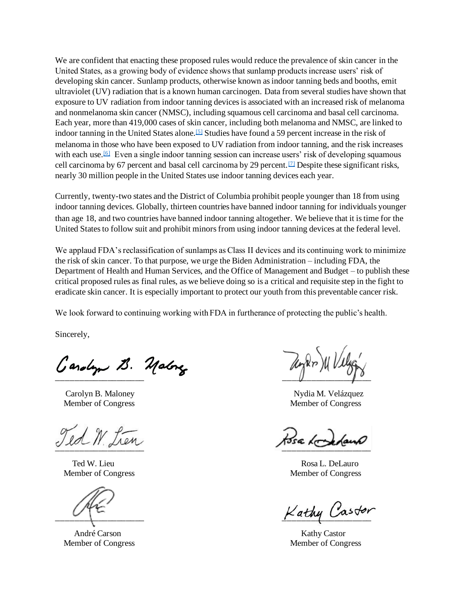We are confident that enacting these proposed rules would reduce the prevalence of skin cancer in the United States, as a growing body of evidence shows that sunlamp products increase users' risk of developing skin cancer. Sunlamp products, otherwise known as indoor tanning beds and booths, emit ultraviolet (UV) radiation that is a known human carcinogen. Data from several studies have shown that exposure to UV radiation from indoor tanning devices is associated with an increased risk of melanoma and nonmelanoma skin cancer (NMSC), including squamous cell carcinoma and basal cell carcinoma. Each year, more than 419,000 cases of skin cancer, including both melanoma and NMSC, are linked to indoor tanning in the United States alone.<sup>[\[5\]](https://e-dearcolleague.house.gov/Home/Preview?DCID=341154#_ftn5)</sup> Studies have found a 59 percent increase in the risk of melanoma in those who have been exposed to UV radiation from indoor tanning, and the risk increases with each use.<sup>[\[6\]](https://e-dearcolleague.house.gov/Home/Preview?DCID=341154#_ftn6)</sup> Even a single indoor tanning session can increase users' risk of developing squamous cell carcinoma by 67 percent and basal cell carcinoma by 29 percent.<sup>[\[7\]](https://e-dearcolleague.house.gov/Home/Preview?DCID=341154#_ftn7)</sup> Despite these significant risks, nearly 30 million people in the United States use indoor tanning devices each year.

Currently, twenty-two states and the District of Columbia prohibit people younger than 18 from using indoor tanning devices. Globally, thirteen countries have banned indoor tanning for individuals younger than age 18, and two countries have banned indoor tanning altogether. We believe that it is time for the United States to follow suit and prohibit minors from using indoor tanning devices at the federal level.

We applaud FDA's reclassification of sunlamps as Class II devices and its continuing work to minimize the risk of skin cancer. To that purpose, we urge the Biden Administration – including FDA, the Department of Health and Human Services, and the Office of Management and Budget – to publish these critical proposed rules as final rules, as we believe doing so is a critical and requisite step in the fight to eradicate skin cancer. It is especially important to protect our youth from this preventable cancer risk.

We look forward to continuing working with FDA in furtherance of protecting the public's health.

Sincerely,

Carolyn B. Maloney Nydia M. Velázquez Member of Congress Member of Congress

Ted W from

 $\overline{\phantom{a}}$ 

Ted W. Lieu Rosa L. DeLauro Member of Congress and The Member of Congress and Member of Congress and Member of Congress

 $K$ athy Castor

André Carson Nathy Castor Nathy Castor Nathy Castor Nathy Castor Nathy Castor Nathy Castor Nathy Castor Nathy Castor Nathy Castor Nathy Castor Nathy Castor Nathy Castor Nathy Castor Nathy Castor Nathy Castor Nathy Castor N Member of Congress and South and South American Member of Congress Member of Congress